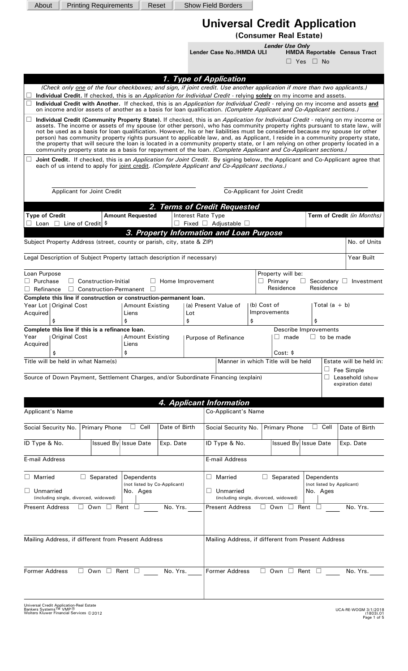| About                                                                                                                                                                                                                                                                                                                                                                                                                                                                                                                                                                                                                                                                                                                                                                                |                                                    | <b>Printing Requirements</b>                                                                               |                                 | Reset                   |           | <b>Show Field Borders</b>                                                                                                      |             |                                                                 |                      |                           |                                       |
|--------------------------------------------------------------------------------------------------------------------------------------------------------------------------------------------------------------------------------------------------------------------------------------------------------------------------------------------------------------------------------------------------------------------------------------------------------------------------------------------------------------------------------------------------------------------------------------------------------------------------------------------------------------------------------------------------------------------------------------------------------------------------------------|----------------------------------------------------|------------------------------------------------------------------------------------------------------------|---------------------------------|-------------------------|-----------|--------------------------------------------------------------------------------------------------------------------------------|-------------|-----------------------------------------------------------------|----------------------|---------------------------|---------------------------------------|
|                                                                                                                                                                                                                                                                                                                                                                                                                                                                                                                                                                                                                                                                                                                                                                                      |                                                    |                                                                                                            |                                 |                         |           | <b>Universal Credit Application</b>                                                                                            |             |                                                                 |                      |                           |                                       |
|                                                                                                                                                                                                                                                                                                                                                                                                                                                                                                                                                                                                                                                                                                                                                                                      |                                                    |                                                                                                            |                                 |                         |           |                                                                                                                                |             | (Consumer Real Estate)                                          |                      |                           |                                       |
|                                                                                                                                                                                                                                                                                                                                                                                                                                                                                                                                                                                                                                                                                                                                                                                      |                                                    |                                                                                                            |                                 |                         |           |                                                                                                                                |             | <b>Lender Use Only</b>                                          |                      |                           |                                       |
|                                                                                                                                                                                                                                                                                                                                                                                                                                                                                                                                                                                                                                                                                                                                                                                      |                                                    |                                                                                                            |                                 |                         |           | Lender Case No./HMDA ULI                                                                                                       |             |                                                                 | $\Box$ Yes $\Box$ No |                           | <b>HMDA Reportable Census Tract</b>   |
|                                                                                                                                                                                                                                                                                                                                                                                                                                                                                                                                                                                                                                                                                                                                                                                      |                                                    |                                                                                                            |                                 |                         |           | 1. Type of Application                                                                                                         |             |                                                                 |                      |                           |                                       |
|                                                                                                                                                                                                                                                                                                                                                                                                                                                                                                                                                                                                                                                                                                                                                                                      |                                                    |                                                                                                            |                                 |                         |           | (Check only one of the four checkboxes; and sign, if joint credit. Use another application if more than two applicants.)       |             |                                                                 |                      |                           |                                       |
| Individual Credit. If checked, this is an Application for Individual Credit - relying solely on my income and assets.<br>Individual Credit with Another. If checked, this is an Application for Individual Credit - relying on my income and assets and<br>on income and/or assets of another as a basis for loan qualification. (Complete Applicant and Co-Applicant sections.)                                                                                                                                                                                                                                                                                                                                                                                                     |                                                    |                                                                                                            |                                 |                         |           |                                                                                                                                |             |                                                                 |                      |                           |                                       |
| Individual Credit (Community Property State). If checked, this is an Application for Individual Credit - relying on my income or<br>assets. The income or assets of my spouse (or other person), who has community property rights pursuant to state law, will<br>not be used as a basis for loan qualification. However, his or her liabilities must be considered because my spouse (or other<br>person) has community property rights pursuant to applicable law, and, as Applicant, I reside in a community property state,<br>the property that will secure the loan is located in a community property state, or I am relying on other property located in a<br>community property state as a basis for repayment of the loan. (Complete Applicant and Co-Applicant sections.) |                                                    |                                                                                                            |                                 |                         |           |                                                                                                                                |             |                                                                 |                      |                           |                                       |
|                                                                                                                                                                                                                                                                                                                                                                                                                                                                                                                                                                                                                                                                                                                                                                                      |                                                    |                                                                                                            |                                 |                         |           | Joint Credit. If checked, this is an Application for Joint Credit. By signing below, the Applicant and Co-Applicant agree that |             |                                                                 |                      |                           |                                       |
|                                                                                                                                                                                                                                                                                                                                                                                                                                                                                                                                                                                                                                                                                                                                                                                      |                                                    |                                                                                                            |                                 |                         |           | each of us intend to apply for joint credit. (Complete Applicant and Co-Applicant sections.)                                   |             |                                                                 |                      |                           |                                       |
|                                                                                                                                                                                                                                                                                                                                                                                                                                                                                                                                                                                                                                                                                                                                                                                      |                                                    |                                                                                                            |                                 |                         |           |                                                                                                                                |             |                                                                 |                      |                           |                                       |
|                                                                                                                                                                                                                                                                                                                                                                                                                                                                                                                                                                                                                                                                                                                                                                                      |                                                    | <b>Applicant for Joint Credit</b>                                                                          |                                 |                         |           |                                                                                                                                |             | Co-Applicant for Joint Credit                                   |                      |                           |                                       |
|                                                                                                                                                                                                                                                                                                                                                                                                                                                                                                                                                                                                                                                                                                                                                                                      |                                                    |                                                                                                            |                                 |                         |           | 2. Terms of Credit Requested                                                                                                   |             |                                                                 |                      |                           |                                       |
| <b>Type of Credit</b>                                                                                                                                                                                                                                                                                                                                                                                                                                                                                                                                                                                                                                                                                                                                                                | Loan $\Box$ Line of Credit $\frac{1}{2}$           |                                                                                                            | <b>Amount Requested</b>         |                         |           | Interest Rate Type<br>Fixed $\Box$ Adjustable $\Box$                                                                           |             |                                                                 |                      |                           | Term of Credit (in Months)            |
|                                                                                                                                                                                                                                                                                                                                                                                                                                                                                                                                                                                                                                                                                                                                                                                      |                                                    |                                                                                                            |                                 |                         |           | 3. Property Information and Loan Purpose                                                                                       |             |                                                                 |                      |                           |                                       |
|                                                                                                                                                                                                                                                                                                                                                                                                                                                                                                                                                                                                                                                                                                                                                                                      |                                                    | Subject Property Address (street, county or parish, city, state & ZIP)                                     |                                 |                         |           |                                                                                                                                |             |                                                                 |                      |                           | No. of Units                          |
|                                                                                                                                                                                                                                                                                                                                                                                                                                                                                                                                                                                                                                                                                                                                                                                      |                                                    | Legal Description of Subject Property (attach description if necessary)                                    |                                 |                         |           |                                                                                                                                |             |                                                                 |                      |                           | Year Built                            |
| Loan Purpose                                                                                                                                                                                                                                                                                                                                                                                                                                                                                                                                                                                                                                                                                                                                                                         |                                                    |                                                                                                            |                                 |                         |           |                                                                                                                                |             | Property will be:                                               |                      |                           |                                       |
| $\Box$ Purchase                                                                                                                                                                                                                                                                                                                                                                                                                                                                                                                                                                                                                                                                                                                                                                      | $\Box$                                             | Construction-Initial                                                                                       |                                 | $\Box$ Home Improvement |           |                                                                                                                                |             | $\Box$ Primary                                                  |                      | Secondary $\square$       | Investment                            |
| Refinance                                                                                                                                                                                                                                                                                                                                                                                                                                                                                                                                                                                                                                                                                                                                                                            |                                                    | $\Box$ Construction-Permanent $\Box$<br>Complete this line if construction or construction-permanent loan. |                                 |                         |           |                                                                                                                                |             | Residence                                                       |                      | Residence                 |                                       |
|                                                                                                                                                                                                                                                                                                                                                                                                                                                                                                                                                                                                                                                                                                                                                                                      | Year Lot   Original Cost                           |                                                                                                            | <b>Amount Existing</b>          |                         |           | (a) Present Value of                                                                                                           | (b) Cost of |                                                                 |                      | Total $(a + b)$           |                                       |
| Acquired                                                                                                                                                                                                                                                                                                                                                                                                                                                                                                                                                                                                                                                                                                                                                                             | \$                                                 |                                                                                                            | Liens<br>\$                     |                         | Lot<br>\$ |                                                                                                                                | \$          | Improvements                                                    | \$                   |                           |                                       |
|                                                                                                                                                                                                                                                                                                                                                                                                                                                                                                                                                                                                                                                                                                                                                                                      |                                                    | Complete this line if this is a refinance loan.                                                            |                                 |                         |           |                                                                                                                                |             | Describe Improvements                                           |                      |                           |                                       |
| Year<br>Acquired                                                                                                                                                                                                                                                                                                                                                                                                                                                                                                                                                                                                                                                                                                                                                                     | <b>Original Cost</b>                               |                                                                                                            | <b>Amount Existing</b><br>Liens |                         |           | Purpose of Refinance                                                                                                           |             | $\Box$ made                                                     |                      | $\Box$ to be made         |                                       |
|                                                                                                                                                                                                                                                                                                                                                                                                                                                                                                                                                                                                                                                                                                                                                                                      |                                                    |                                                                                                            | \$                              |                         |           |                                                                                                                                |             | Cost:                                                           |                      |                           |                                       |
|                                                                                                                                                                                                                                                                                                                                                                                                                                                                                                                                                                                                                                                                                                                                                                                      | Title will be held in what Name(s)                 |                                                                                                            |                                 |                         |           |                                                                                                                                |             | Manner in which Title will be held                              |                      | ⊔                         | Estate will be held in:<br>Fee Simple |
|                                                                                                                                                                                                                                                                                                                                                                                                                                                                                                                                                                                                                                                                                                                                                                                      |                                                    |                                                                                                            |                                 |                         |           | Source of Down Payment, Settlement Charges, and/or Subordinate Financing (explain)                                             |             |                                                                 |                      | $\mathbf{I}$              | Leasehold (show                       |
|                                                                                                                                                                                                                                                                                                                                                                                                                                                                                                                                                                                                                                                                                                                                                                                      |                                                    |                                                                                                            |                                 |                         |           |                                                                                                                                |             |                                                                 |                      |                           | expiration date)                      |
|                                                                                                                                                                                                                                                                                                                                                                                                                                                                                                                                                                                                                                                                                                                                                                                      |                                                    |                                                                                                            |                                 |                         |           | 4. Applicant Information                                                                                                       |             |                                                                 |                      |                           |                                       |
| <b>Applicant's Name</b>                                                                                                                                                                                                                                                                                                                                                                                                                                                                                                                                                                                                                                                                                                                                                              |                                                    |                                                                                                            |                                 |                         |           | Co-Applicant's Name                                                                                                            |             |                                                                 |                      |                           |                                       |
| Social Security No.                                                                                                                                                                                                                                                                                                                                                                                                                                                                                                                                                                                                                                                                                                                                                                  |                                                    | <b>Primary Phone</b>                                                                                       | Cell<br>$\mathsf{L}$            | Date of Birth           |           | Social Security No.                                                                                                            |             | <b>Primary Phone</b>                                            | $\Box$               | Cell                      | Date of Birth                         |
| ID Type & No.                                                                                                                                                                                                                                                                                                                                                                                                                                                                                                                                                                                                                                                                                                                                                                        |                                                    |                                                                                                            | Issued By Issue Date            | Exp. Date               |           | ID Type & No.                                                                                                                  |             | Issued By Issue Date                                            |                      |                           | Exp. Date                             |
| <b>E-mail Address</b>                                                                                                                                                                                                                                                                                                                                                                                                                                                                                                                                                                                                                                                                                                                                                                |                                                    |                                                                                                            |                                 |                         |           | E-mail Address                                                                                                                 |             |                                                                 |                      |                           |                                       |
| <b>Married</b>                                                                                                                                                                                                                                                                                                                                                                                                                                                                                                                                                                                                                                                                                                                                                                       | $\Box$                                             | Separated                                                                                                  | Dependents                      |                         |           | Married<br>ப                                                                                                                   | ⊔           | Separated                                                       |                      | Dependents                |                                       |
| (not listed by Co-Applicant)<br>Unmarried<br>No. Ages                                                                                                                                                                                                                                                                                                                                                                                                                                                                                                                                                                                                                                                                                                                                |                                                    |                                                                                                            |                                 |                         | Unmarried |                                                                                                                                |             | No. Ages                                                        |                      | (not listed by Applicant) |                                       |
| <b>Present Address</b>                                                                                                                                                                                                                                                                                                                                                                                                                                                                                                                                                                                                                                                                                                                                                               | (including single, divorced, widowed)              | $\Box$ Own $\Box$                                                                                          | Rent                            | No. Yrs.                |           | <b>Present Address</b>                                                                                                         |             | (including single, divorced, widowed)<br>$\Box$ Own $\Box$ Rent |                      |                           | No. Yrs.                              |
|                                                                                                                                                                                                                                                                                                                                                                                                                                                                                                                                                                                                                                                                                                                                                                                      |                                                    |                                                                                                            |                                 |                         |           |                                                                                                                                |             |                                                                 |                      |                           |                                       |
|                                                                                                                                                                                                                                                                                                                                                                                                                                                                                                                                                                                                                                                                                                                                                                                      |                                                    |                                                                                                            |                                 |                         |           |                                                                                                                                |             |                                                                 |                      |                           |                                       |
|                                                                                                                                                                                                                                                                                                                                                                                                                                                                                                                                                                                                                                                                                                                                                                                      | Mailing Address, if different from Present Address |                                                                                                            |                                 |                         |           | Mailing Address, if different from Present Address                                                                             |             |                                                                 |                      |                           |                                       |
|                                                                                                                                                                                                                                                                                                                                                                                                                                                                                                                                                                                                                                                                                                                                                                                      |                                                    |                                                                                                            |                                 |                         |           |                                                                                                                                |             |                                                                 |                      |                           |                                       |
|                                                                                                                                                                                                                                                                                                                                                                                                                                                                                                                                                                                                                                                                                                                                                                                      |                                                    |                                                                                                            |                                 |                         |           |                                                                                                                                |             |                                                                 |                      |                           |                                       |
| <b>Former Address</b>                                                                                                                                                                                                                                                                                                                                                                                                                                                                                                                                                                                                                                                                                                                                                                | $\Box$                                             | Own $\Box$                                                                                                 | Rent                            | No. Yrs.                |           | <b>Former Address</b>                                                                                                          | ⊔           | Own $\Box$                                                      | Rent                 |                           | No. Yrs.                              |
|                                                                                                                                                                                                                                                                                                                                                                                                                                                                                                                                                                                                                                                                                                                                                                                      |                                                    |                                                                                                            |                                 |                         |           |                                                                                                                                |             |                                                                 |                      |                           |                                       |
|                                                                                                                                                                                                                                                                                                                                                                                                                                                                                                                                                                                                                                                                                                                                                                                      |                                                    |                                                                                                            |                                 |                         |           |                                                                                                                                |             |                                                                 |                      |                           |                                       |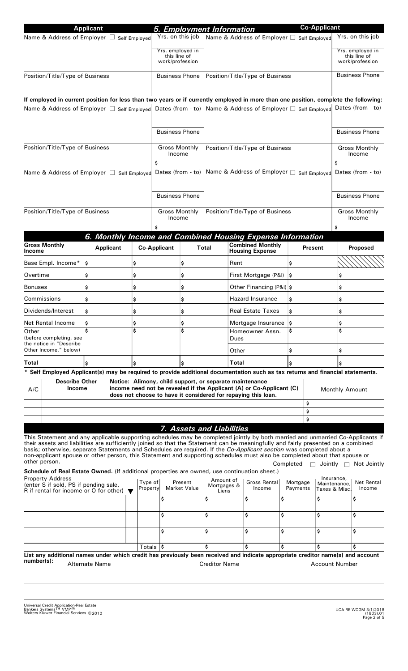|                                                                                                                                                                                                                                                                                                                                                                                                                                                                                                                                          | <b>Applicant</b>                                           |                     | 5. Employment Information                               |                                  |                                            |                                           |                                                                                                                                       |                      | <b>Co-Applicant</b>   |                                             |                                                     |
|------------------------------------------------------------------------------------------------------------------------------------------------------------------------------------------------------------------------------------------------------------------------------------------------------------------------------------------------------------------------------------------------------------------------------------------------------------------------------------------------------------------------------------------|------------------------------------------------------------|---------------------|---------------------------------------------------------|----------------------------------|--------------------------------------------|-------------------------------------------|---------------------------------------------------------------------------------------------------------------------------------------|----------------------|-----------------------|---------------------------------------------|-----------------------------------------------------|
| Name & Address of Employer □ Self Employed                                                                                                                                                                                                                                                                                                                                                                                                                                                                                               |                                                            |                     |                                                         | Yrs. on this job                 |                                            |                                           | Name & Address of Employer □ Self Employed                                                                                            |                      |                       |                                             | Yrs. on this job                                    |
|                                                                                                                                                                                                                                                                                                                                                                                                                                                                                                                                          |                                                            |                     | work/profession                                         | Yrs. employed in<br>this line of |                                            |                                           |                                                                                                                                       |                      |                       |                                             | Yrs. employed in<br>this line of<br>work/profession |
| Position/Title/Type of Business                                                                                                                                                                                                                                                                                                                                                                                                                                                                                                          | <b>Business Phone</b>                                      |                     |                                                         |                                  | Position/Title/Type of Business            |                                           |                                                                                                                                       |                      | <b>Business Phone</b> |                                             |                                                     |
|                                                                                                                                                                                                                                                                                                                                                                                                                                                                                                                                          |                                                            |                     |                                                         |                                  |                                            |                                           |                                                                                                                                       |                      |                       |                                             |                                                     |
| If employed in current position for less than two years or if currently employed in more than one position, complete the following:                                                                                                                                                                                                                                                                                                                                                                                                      |                                                            |                     |                                                         |                                  |                                            |                                           |                                                                                                                                       |                      |                       |                                             |                                                     |
| Name & Address of Employer □ Self Employed                                                                                                                                                                                                                                                                                                                                                                                                                                                                                               |                                                            |                     | Dates (from - to) $ $                                   |                                  | Name & Address of Employer □ Self Employed |                                           |                                                                                                                                       |                      |                       | Dates (from - to)                           |                                                     |
|                                                                                                                                                                                                                                                                                                                                                                                                                                                                                                                                          |                                                            |                     | <b>Business Phone</b>                                   |                                  |                                            |                                           |                                                                                                                                       |                      |                       | <b>Business Phone</b>                       |                                                     |
| Position/Title/Type of Business                                                                                                                                                                                                                                                                                                                                                                                                                                                                                                          |                                                            |                     | <b>Gross Monthly</b><br>Income<br>\$                    |                                  |                                            |                                           | Position/Title/Type of Business                                                                                                       |                      |                       | \$                                          | <b>Gross Monthly</b><br>Income                      |
| Name & Address of Employer □ Self Employed                                                                                                                                                                                                                                                                                                                                                                                                                                                                                               |                                                            |                     | Dates (from - to)                                       |                                  |                                            |                                           | Name & Address of Employer □ Self Employed                                                                                            |                      |                       |                                             | Dates (from - to)                                   |
|                                                                                                                                                                                                                                                                                                                                                                                                                                                                                                                                          |                                                            |                     |                                                         | <b>Business Phone</b>            |                                            |                                           |                                                                                                                                       |                      |                       |                                             | <b>Business Phone</b>                               |
| Position/Title/Type of Business                                                                                                                                                                                                                                                                                                                                                                                                                                                                                                          |                                                            |                     |                                                         | <b>Gross Monthly</b>             |                                            |                                           | Position/Title/Type of Business                                                                                                       |                      |                       |                                             | <b>Gross Monthly</b>                                |
|                                                                                                                                                                                                                                                                                                                                                                                                                                                                                                                                          |                                                            |                     |                                                         | Income                           |                                            |                                           |                                                                                                                                       |                      |                       | Income<br>\$                                |                                                     |
|                                                                                                                                                                                                                                                                                                                                                                                                                                                                                                                                          | 6. Monthly Income and Combined Housing Expense Information |                     |                                                         |                                  |                                            |                                           |                                                                                                                                       |                      |                       |                                             |                                                     |
| <b>Gross Monthly</b><br><b>Income</b>                                                                                                                                                                                                                                                                                                                                                                                                                                                                                                    | <b>Applicant</b>                                           |                     | <b>Co-Applicant</b>                                     |                                  | <b>Total</b>                               |                                           | <b>Combined Monthly</b><br><b>Housing Expense</b>                                                                                     |                      | Present               |                                             | Proposed                                            |
| Base Empl. Income*                                                                                                                                                                                                                                                                                                                                                                                                                                                                                                                       | \$                                                         | \$                  |                                                         | \$                               |                                            | Rent                                      |                                                                                                                                       | \$                   |                       |                                             |                                                     |
| Overtime                                                                                                                                                                                                                                                                                                                                                                                                                                                                                                                                 | \$                                                         | \$                  |                                                         | \$                               |                                            | First Mortgage (P&I)                      |                                                                                                                                       | l\$                  |                       |                                             |                                                     |
| Bonuses                                                                                                                                                                                                                                                                                                                                                                                                                                                                                                                                  | \$                                                         | \$                  |                                                         | \$                               |                                            | Other Financing (P&I)  \$                 |                                                                                                                                       |                      |                       | \$                                          |                                                     |
| Commissions                                                                                                                                                                                                                                                                                                                                                                                                                                                                                                                              | \$                                                         | \$                  | \$                                                      |                                  | <b>Hazard Insurance</b>                    |                                           | \$                                                                                                                                    |                      |                       |                                             |                                                     |
| Dividends/Interest                                                                                                                                                                                                                                                                                                                                                                                                                                                                                                                       | \$                                                         | \$                  | \$                                                      |                                  | <b>Real Estate Taxes</b>                   |                                           | ۱\$                                                                                                                                   |                      |                       |                                             |                                                     |
| Net Rental Income<br>Other                                                                                                                                                                                                                                                                                                                                                                                                                                                                                                               | \$<br>Ś                                                    | \$<br>Ś             |                                                         | Ş                                |                                            | Mortgage Insurance  \$<br>Homeowner Assn. |                                                                                                                                       | Ś                    |                       | \$<br>Ś                                     |                                                     |
| (before completing, see<br>the notice in "Describe<br>Other Income," below)                                                                                                                                                                                                                                                                                                                                                                                                                                                              |                                                            |                     |                                                         |                                  | Dues<br>Other                              |                                           | \$                                                                                                                                    |                      | \$                    |                                             |                                                     |
| Total                                                                                                                                                                                                                                                                                                                                                                                                                                                                                                                                    |                                                            | \$                  |                                                         |                                  |                                            | <b>Total</b>                              |                                                                                                                                       |                      |                       | \$                                          |                                                     |
| Self Employed Applicant(s) may be required to provide additional documentation such as tax returns and financial statements.                                                                                                                                                                                                                                                                                                                                                                                                             |                                                            |                     |                                                         |                                  |                                            |                                           |                                                                                                                                       |                      |                       |                                             |                                                     |
| <b>Describe Other</b><br><b>Income</b><br>A/C                                                                                                                                                                                                                                                                                                                                                                                                                                                                                            |                                                            |                     | Notice: Alimony, child support, or separate maintenance |                                  |                                            |                                           | income need not be revealed if the Applicant (A) or Co-Applicant (C)<br>does not choose to have it considered for repaying this loan. |                      |                       | <b>Monthly Amount</b>                       |                                                     |
|                                                                                                                                                                                                                                                                                                                                                                                                                                                                                                                                          |                                                            |                     |                                                         |                                  |                                            |                                           |                                                                                                                                       |                      | \$<br>\$              |                                             |                                                     |
|                                                                                                                                                                                                                                                                                                                                                                                                                                                                                                                                          |                                                            |                     |                                                         |                                  |                                            |                                           |                                                                                                                                       |                      | Ś                     |                                             |                                                     |
|                                                                                                                                                                                                                                                                                                                                                                                                                                                                                                                                          |                                                            |                     |                                                         | 7. Assets and Liabilities        |                                            |                                           |                                                                                                                                       |                      |                       |                                             |                                                     |
| This Statement and any applicable supporting schedules may be completed jointly by both married and unmarried Co-Applicants if<br>their assets and liabilities are sufficiently joined so that the Statement can be meaningfully and fairly presented on a combined<br>basis; otherwise, separate Statements and Schedules are required. If the Co-Applicant section was completed about a<br>non-applicant spouse or other person, this Statement and supporting schedules must also be completed about that spouse or<br>other person. |                                                            |                     |                                                         |                                  |                                            |                                           |                                                                                                                                       | Completed            | $\Box$ Jointly $\Box$ |                                             | Not Jointly                                         |
| Schedule of Real Estate Owned. (If additional properties are owned, use continuation sheet.)<br><b>Property Address</b><br>(enter S if sold, PS if pending sale,                                                                                                                                                                                                                                                                                                                                                                         |                                                            | Type of<br>Property |                                                         | Present<br><b>Market Value</b>   | Amount of<br>Mortgages &                   |                                           | <b>Gross Rental</b><br>Income                                                                                                         | Mortgage<br>Payments |                       | Insurance,<br>Maintenance,<br>Taxes & Misc. | <b>Net Rental</b><br>Income                         |
| R if rental for income or O for other) $\blacktriangledown$                                                                                                                                                                                                                                                                                                                                                                                                                                                                              |                                                            |                     | \$                                                      |                                  | Liens<br>\$                                |                                           | \$                                                                                                                                    | \$                   | \$                    |                                             | \$                                                  |
|                                                                                                                                                                                                                                                                                                                                                                                                                                                                                                                                          |                                                            |                     | \$                                                      |                                  | \$                                         |                                           | \$                                                                                                                                    | \$                   | \$                    |                                             | \$                                                  |
|                                                                                                                                                                                                                                                                                                                                                                                                                                                                                                                                          |                                                            |                     | \$                                                      |                                  | \$                                         |                                           | \$                                                                                                                                    | \$                   | \$                    |                                             | \$                                                  |
|                                                                                                                                                                                                                                                                                                                                                                                                                                                                                                                                          |                                                            |                     | Totals  \$                                              |                                  |                                            | \$                                        |                                                                                                                                       | \$                   | \$                    |                                             | \$                                                  |
| List any additional names under which credit has previously been received and indicate appropriate creditor name(s) and account<br>number(s):                                                                                                                                                                                                                                                                                                                                                                                            | Alternate Name                                             |                     |                                                         |                                  | <b>Creditor Name</b>                       |                                           |                                                                                                                                       |                      | <b>Account Number</b> |                                             |                                                     |
|                                                                                                                                                                                                                                                                                                                                                                                                                                                                                                                                          |                                                            |                     |                                                         |                                  |                                            |                                           |                                                                                                                                       |                      |                       |                                             |                                                     |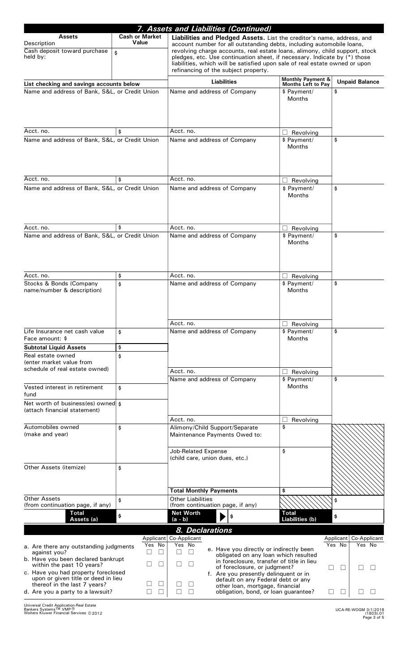|                                                                            |                                | 7. Assets and Liabilities (Continued)                                                                                                                                                                                             |                                                                                 |                                                           |                           |  |  |  |  |
|----------------------------------------------------------------------------|--------------------------------|-----------------------------------------------------------------------------------------------------------------------------------------------------------------------------------------------------------------------------------|---------------------------------------------------------------------------------|-----------------------------------------------------------|---------------------------|--|--|--|--|
| <b>Assets</b>                                                              | <b>Cash or Market</b><br>Value | Liabilities and Pledged Assets. List the creditor's name, address, and                                                                                                                                                            |                                                                                 |                                                           |                           |  |  |  |  |
| Description<br>Cash deposit toward purchase<br>held by:                    | \$                             | account number for all outstanding debts, including automobile loans,<br>revolving charge accounts, real estate loans, alimony, child support, stock<br>pledges, etc. Use continuation sheet, if necessary. Indicate by (*) those |                                                                                 |                                                           |                           |  |  |  |  |
|                                                                            |                                | liabilities, which will be satisfied upon sale of real estate owned or upon<br>refinancing of the subject property.                                                                                                               |                                                                                 |                                                           |                           |  |  |  |  |
| List checking and savings accounts below                                   |                                | <b>Liabilities</b>                                                                                                                                                                                                                |                                                                                 | <b>Monthly Payment &amp;</b><br><b>Months Left to Pay</b> | <b>Unpaid Balance</b>     |  |  |  |  |
| Name and address of Bank, S&L, or Credit Union                             |                                | Name and address of Company                                                                                                                                                                                                       |                                                                                 | \$ Payment/                                               | \$                        |  |  |  |  |
|                                                                            |                                |                                                                                                                                                                                                                                   |                                                                                 | <b>Months</b>                                             |                           |  |  |  |  |
| Acct. no.                                                                  | \$                             | Acct. no.                                                                                                                                                                                                                         |                                                                                 | $\Box$ Revolving                                          |                           |  |  |  |  |
| Name and address of Bank, S&L, or Credit Union                             |                                | Name and address of Company                                                                                                                                                                                                       |                                                                                 | \$ Payment/<br><b>Months</b>                              | \$                        |  |  |  |  |
| Acct. no.                                                                  | \$                             | Acct. no.                                                                                                                                                                                                                         |                                                                                 | Revolving<br>H                                            |                           |  |  |  |  |
| Name and address of Bank, S&L, or Credit Union                             |                                | Name and address of Company                                                                                                                                                                                                       |                                                                                 | \$ Payment/                                               | \$                        |  |  |  |  |
|                                                                            |                                |                                                                                                                                                                                                                                   |                                                                                 | <b>Months</b>                                             |                           |  |  |  |  |
| Acct. no.                                                                  | \$                             | Acct. no.                                                                                                                                                                                                                         |                                                                                 | Revolving<br>⊔.                                           |                           |  |  |  |  |
| Name and address of Bank, S&L, or Credit Union                             |                                | Name and address of Company                                                                                                                                                                                                       |                                                                                 | \$ Payment/                                               | \$                        |  |  |  |  |
|                                                                            |                                |                                                                                                                                                                                                                                   |                                                                                 | Months                                                    |                           |  |  |  |  |
| Acct. no.                                                                  | \$                             | Acct. no.                                                                                                                                                                                                                         |                                                                                 | $\Box$ Revolving                                          |                           |  |  |  |  |
| Stocks & Bonds (Company                                                    | \$                             | Name and address of Company                                                                                                                                                                                                       |                                                                                 | \$ Payment/                                               | \$                        |  |  |  |  |
| name/number & description)                                                 |                                |                                                                                                                                                                                                                                   |                                                                                 | <b>Months</b>                                             |                           |  |  |  |  |
|                                                                            |                                | Acct. no.                                                                                                                                                                                                                         |                                                                                 | $\Box$ Revolving                                          |                           |  |  |  |  |
| Life Insurance net cash value<br>Face amount: \$                           | \$                             | Name and address of Company                                                                                                                                                                                                       |                                                                                 | \$ Payment/<br><b>Months</b>                              | \$                        |  |  |  |  |
| <b>Subtotal Liquid Assets</b>                                              | \$                             |                                                                                                                                                                                                                                   |                                                                                 |                                                           |                           |  |  |  |  |
| Real estate owned<br>(enter market value from                              | \$                             |                                                                                                                                                                                                                                   |                                                                                 |                                                           |                           |  |  |  |  |
| schedule of real estate owned)                                             |                                | Acct. no.                                                                                                                                                                                                                         |                                                                                 |                                                           |                           |  |  |  |  |
|                                                                            |                                | Name and address of Company                                                                                                                                                                                                       |                                                                                 | $\Box$ Revolving<br>\$ Payment/                           | \$                        |  |  |  |  |
| Vested interest in retirement<br>fund                                      | \$                             |                                                                                                                                                                                                                                   |                                                                                 | <b>Months</b>                                             |                           |  |  |  |  |
| Net worth of business(es) owned \$<br>(attach financial statement)         |                                |                                                                                                                                                                                                                                   |                                                                                 |                                                           |                           |  |  |  |  |
|                                                                            |                                | Acct. no.                                                                                                                                                                                                                         |                                                                                 | Revolving                                                 |                           |  |  |  |  |
| Automobiles owned<br>(make and year)                                       | \$                             | Alimony/Child Support/Separate<br>Maintenance Payments Owed to:                                                                                                                                                                   |                                                                                 | \$                                                        |                           |  |  |  |  |
|                                                                            |                                |                                                                                                                                                                                                                                   |                                                                                 |                                                           |                           |  |  |  |  |
|                                                                            |                                | <b>Job-Related Expense</b>                                                                                                                                                                                                        |                                                                                 | \$                                                        |                           |  |  |  |  |
|                                                                            |                                | (child care, union dues, etc.)                                                                                                                                                                                                    |                                                                                 |                                                           |                           |  |  |  |  |
| Other Assets (itemize)                                                     | \$                             |                                                                                                                                                                                                                                   |                                                                                 |                                                           |                           |  |  |  |  |
|                                                                            |                                |                                                                                                                                                                                                                                   |                                                                                 |                                                           |                           |  |  |  |  |
|                                                                            |                                | <b>Total Monthly Payments</b>                                                                                                                                                                                                     |                                                                                 | \$                                                        |                           |  |  |  |  |
| Other Assets<br>(from continuation page, if any)                           | \$                             | <b>Other Liabilities</b><br>(from continuation page, if any)                                                                                                                                                                      |                                                                                 |                                                           | \$                        |  |  |  |  |
| <b>Total</b>                                                               | \$                             | <b>Net Worth</b>                                                                                                                                                                                                                  | \$                                                                              | <b>Total</b>                                              | \$                        |  |  |  |  |
| Assets (a)                                                                 |                                | (a - b)                                                                                                                                                                                                                           |                                                                                 | Liabilities (b)                                           |                           |  |  |  |  |
|                                                                            |                                | 8. Declarations<br>Applicant Co-Applicant                                                                                                                                                                                         |                                                                                 |                                                           | Applicant<br>Co-Applicant |  |  |  |  |
| a. Are there any outstanding judgments                                     | Yes No                         | Yes No                                                                                                                                                                                                                            |                                                                                 |                                                           | Yes No<br>Yes No          |  |  |  |  |
| against you?<br>b. Have you been declared bankrupt                         | $\perp$                        |                                                                                                                                                                                                                                   | e. Have you directly or indirectly been<br>obligated on any loan which resulted |                                                           |                           |  |  |  |  |
| within the past 10 years?                                                  |                                |                                                                                                                                                                                                                                   | in foreclosure, transfer of title in lieu<br>of foreclosure, or judgment?       | $\Box$                                                    |                           |  |  |  |  |
| c. Have you had property foreclosed<br>upon or given title or deed in lieu |                                |                                                                                                                                                                                                                                   | f. Are you presently delinquent or in                                           |                                                           |                           |  |  |  |  |
| thereof in the last 7 years?                                               | $\mathsf{L}$                   |                                                                                                                                                                                                                                   | default on any Federal debt or any<br>other loan, mortgage, financial           |                                                           |                           |  |  |  |  |
| d. Are you a party to a lawsuit?                                           | $\perp$                        |                                                                                                                                                                                                                                   | obligation, bond, or loan guarantee?                                            | ⊔                                                         |                           |  |  |  |  |

Universal Credit Application-Real Estate<br>Bankers Systems™ VMP®<br>Wolters Kluwer Financial Services ©2012 Wolters Kluwer Financial Services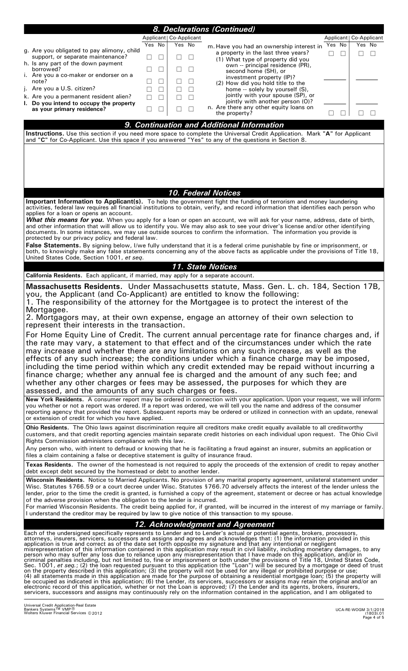|                                                                                                                                                                                                                                                                                                                                                                                                         |        |                          | 8. Declarations (Continued)                                                                                                                                                                                                                                         |                          |  |  |
|---------------------------------------------------------------------------------------------------------------------------------------------------------------------------------------------------------------------------------------------------------------------------------------------------------------------------------------------------------------------------------------------------------|--------|--------------------------|---------------------------------------------------------------------------------------------------------------------------------------------------------------------------------------------------------------------------------------------------------------------|--------------------------|--|--|
|                                                                                                                                                                                                                                                                                                                                                                                                         |        | Applicant   Co-Applicant |                                                                                                                                                                                                                                                                     | Applicant   Co-Applicant |  |  |
| g. Are you obligated to pay alimony, child                                                                                                                                                                                                                                                                                                                                                              | Yes No | Yes No                   | m. Have you had an ownership interest in<br>a property in the last three years?                                                                                                                                                                                     | Yes No<br>Yes No         |  |  |
| support, or separate maintenance?<br>h. Is any part of the down payment                                                                                                                                                                                                                                                                                                                                 |        |                          | (1) What type of property did you                                                                                                                                                                                                                                   |                          |  |  |
| borrowed?                                                                                                                                                                                                                                                                                                                                                                                               |        |                          | own -- principal residence (PR),<br>second home (SH), or                                                                                                                                                                                                            |                          |  |  |
| i. Are you a co-maker or endorser on a<br>note?                                                                                                                                                                                                                                                                                                                                                         |        |                          | investment property (IP)?<br>(2) How did you hold title to the                                                                                                                                                                                                      |                          |  |  |
| j. Are you a U.S. citizen?                                                                                                                                                                                                                                                                                                                                                                              |        |                          | home -- solely by yourself (S),<br>jointly with your spouse (SP), or                                                                                                                                                                                                |                          |  |  |
| k. Are you a permanent resident alien?<br>I. Do you intend to occupy the property                                                                                                                                                                                                                                                                                                                       |        |                          | jointly with another person (O)?                                                                                                                                                                                                                                    |                          |  |  |
| as your primary residence?                                                                                                                                                                                                                                                                                                                                                                              |        |                          | n. Are there any other equity loans on<br>the property?                                                                                                                                                                                                             |                          |  |  |
|                                                                                                                                                                                                                                                                                                                                                                                                         |        |                          | 9. Continuation and Additional Information                                                                                                                                                                                                                          |                          |  |  |
|                                                                                                                                                                                                                                                                                                                                                                                                         |        |                          | Instructions. Use this section if you need more space to complete the Universal Credit Application. Mark "A" for Applicant and "C" for Co-Applicant. Use this space if you answered "Yes" to any of the questions in Section 8                                      |                          |  |  |
|                                                                                                                                                                                                                                                                                                                                                                                                         |        |                          |                                                                                                                                                                                                                                                                     |                          |  |  |
|                                                                                                                                                                                                                                                                                                                                                                                                         |        |                          |                                                                                                                                                                                                                                                                     |                          |  |  |
|                                                                                                                                                                                                                                                                                                                                                                                                         |        |                          |                                                                                                                                                                                                                                                                     |                          |  |  |
|                                                                                                                                                                                                                                                                                                                                                                                                         |        |                          |                                                                                                                                                                                                                                                                     |                          |  |  |
|                                                                                                                                                                                                                                                                                                                                                                                                         |        |                          | <b>10. Federal Notices</b>                                                                                                                                                                                                                                          |                          |  |  |
|                                                                                                                                                                                                                                                                                                                                                                                                         |        |                          | Important Information to Applicant(s). To help the government fight the funding of terrorism and money laundering                                                                                                                                                   |                          |  |  |
| applies for a loan or opens an account.                                                                                                                                                                                                                                                                                                                                                                 |        |                          | activities, federal law requires all financial institutions to obtain, verify, and record information that identifies each person who                                                                                                                               |                          |  |  |
|                                                                                                                                                                                                                                                                                                                                                                                                         |        |                          | <b>What this means for you.</b> When you apply for a loan or open an account, we will ask for your name, address, date of birth,<br>and other information that will allow us to identify you. We may also ask to see your driver's license and/or other identifying |                          |  |  |
| protected by our privacy policy and federal law.                                                                                                                                                                                                                                                                                                                                                        |        |                          | documents. In some instances, we may use outside sources to confirm the information. The information you provide is                                                                                                                                                 |                          |  |  |
|                                                                                                                                                                                                                                                                                                                                                                                                         |        |                          | False Statements. By signing below, I/we fully understand that it is a federal crime punishable by fine or imprisonment, or                                                                                                                                         |                          |  |  |
| United States Code, Section 1001, et seq.                                                                                                                                                                                                                                                                                                                                                               |        |                          | both, to knowingly make any false statements concerning any of the above facts as applicable under the provisions of Title 18,                                                                                                                                      |                          |  |  |
|                                                                                                                                                                                                                                                                                                                                                                                                         |        |                          | 11. State Notices                                                                                                                                                                                                                                                   |                          |  |  |
| <b>California Residents.</b> Each applicant, if married, may apply for a separate account.                                                                                                                                                                                                                                                                                                              |        |                          |                                                                                                                                                                                                                                                                     |                          |  |  |
|                                                                                                                                                                                                                                                                                                                                                                                                         |        |                          | Massachusetts Residents. Under Massachusetts statute, Mass. Gen. L. ch. 184, Section 17B,                                                                                                                                                                           |                          |  |  |
| you, the Applicant (and Co-Applicant) are entitled to know the following:                                                                                                                                                                                                                                                                                                                               |        |                          | 1. The responsibility of the attorney for the Mortgagee is to protect the interest of the                                                                                                                                                                           |                          |  |  |
| Mortgagee.                                                                                                                                                                                                                                                                                                                                                                                              |        |                          |                                                                                                                                                                                                                                                                     |                          |  |  |
| represent their interests in the transaction.                                                                                                                                                                                                                                                                                                                                                           |        |                          | 2. Mortgagors may, at their own expense, engage an attorney of their own selection to                                                                                                                                                                               |                          |  |  |
|                                                                                                                                                                                                                                                                                                                                                                                                         |        |                          | For Home Equity Line of Credit. The current annual percentage rate for finance charges and, if                                                                                                                                                                      |                          |  |  |
|                                                                                                                                                                                                                                                                                                                                                                                                         |        |                          | the rate may vary, a statement to that effect and of the circumstances under which the rate                                                                                                                                                                         |                          |  |  |
|                                                                                                                                                                                                                                                                                                                                                                                                         |        |                          | may increase and whether there are any limitations on any such increase, as well as the                                                                                                                                                                             |                          |  |  |
|                                                                                                                                                                                                                                                                                                                                                                                                         |        |                          | effects of any such increase; the conditions under which a finance charge may be imposed,<br>including the time period within which any credit extended may be repaid without incurring a                                                                           |                          |  |  |
|                                                                                                                                                                                                                                                                                                                                                                                                         |        |                          | finance charge; whether any annual fee is charged and the amount of any such fee; and                                                                                                                                                                               |                          |  |  |
| whether any other charges or fees may be assessed, the purposes for which they are                                                                                                                                                                                                                                                                                                                      |        |                          |                                                                                                                                                                                                                                                                     |                          |  |  |
| assessed, and the amounts of any such charges or fees.<br>New York Residents. A consumer report may be ordered in connection with your application. Upon your request, we will inform                                                                                                                                                                                                                   |        |                          |                                                                                                                                                                                                                                                                     |                          |  |  |
| you whether or not a report was ordered. If a report was ordered, we will tell you the name and address of the consumer                                                                                                                                                                                                                                                                                 |        |                          |                                                                                                                                                                                                                                                                     |                          |  |  |
| reporting agency that provided the report. Subsequent reports may be ordered or utilized in connection with an update, renewal<br>or extension of credit for which you have applied.                                                                                                                                                                                                                    |        |                          |                                                                                                                                                                                                                                                                     |                          |  |  |
|                                                                                                                                                                                                                                                                                                                                                                                                         |        |                          | Ohio Residents. The Ohio laws against discrimination require all creditors make credit equally available to all creditworthy                                                                                                                                        |                          |  |  |
| customers, and that credit reporting agencies maintain separate credit histories on each individual upon request. The Ohio Civil<br>Rights Commission administers compliance with this law.                                                                                                                                                                                                             |        |                          |                                                                                                                                                                                                                                                                     |                          |  |  |
| Any person who, with intent to defraud or knowing that he is facilitating a fraud against an insurer, submits an application or<br>files a claim containing a false or deceptive statement is guilty of insurance fraud.                                                                                                                                                                                |        |                          |                                                                                                                                                                                                                                                                     |                          |  |  |
|                                                                                                                                                                                                                                                                                                                                                                                                         |        |                          | Texas Residents. The owner of the homestead is not required to apply the proceeds of the extension of credit to repay another                                                                                                                                       |                          |  |  |
| debt except debt secured by the homestead or debt to another lender.                                                                                                                                                                                                                                                                                                                                    |        |                          |                                                                                                                                                                                                                                                                     |                          |  |  |
| Wisconsin Residents. Notice to Married Applicants. No provision of any marital property agreement, unilateral statement under<br>Wisc. Statutes §766.59 or a court decree under Wisc. Statutes §766.70 adversely affects the interest of the lender unless the                                                                                                                                          |        |                          |                                                                                                                                                                                                                                                                     |                          |  |  |
| lender, prior to the time the credit is granted, is furnished a copy of the agreement, statement or decree or has actual knowledge                                                                                                                                                                                                                                                                      |        |                          |                                                                                                                                                                                                                                                                     |                          |  |  |
| of the adverse provision when the obligation to the lender is incurred.<br>For married Wisconsin Residents. The credit being applied for, if granted, will be incurred in the interest of my marriage or family.                                                                                                                                                                                        |        |                          |                                                                                                                                                                                                                                                                     |                          |  |  |
| I understand the creditor may be required by law to give notice of this transaction to my spouse.                                                                                                                                                                                                                                                                                                       |        |                          |                                                                                                                                                                                                                                                                     |                          |  |  |
| 12. Acknowledgment and Agreement                                                                                                                                                                                                                                                                                                                                                                        |        |                          |                                                                                                                                                                                                                                                                     |                          |  |  |
|                                                                                                                                                                                                                                                                                                                                                                                                         |        |                          | Each of the undersigned specifically represents to Lender and to Lender's actual or potential agents, brokers, processors,<br>attorneys, insurers, servicers, successors and assigns and agrees and acknowledges that: (1) the information provided in this         |                          |  |  |
|                                                                                                                                                                                                                                                                                                                                                                                                         |        |                          | application is true and correct as of the date set forth opposite my signature and that any intentional or negligent                                                                                                                                                |                          |  |  |
| misrepresentation of this information contained in this application may result in civil liability, including monetary damages, to any person who may suffer any loss due to reliance upon any misrepresentation that I have ma                                                                                                                                                                          |        |                          |                                                                                                                                                                                                                                                                     |                          |  |  |
| criminal penalties including, but not limited to, fine or imprisonment or both under the provisions of Title 18, United States Code,<br>Sec. 1001, et seq.; (2) the loan requested pursuant to this application (the "Loan") will<br>on the property described in this application; (3) the property will not be used for any illegal or prohibited purpose or use;                                     |        |                          |                                                                                                                                                                                                                                                                     |                          |  |  |
|                                                                                                                                                                                                                                                                                                                                                                                                         |        |                          | (4) all statements made in this application are made for the purpose of obtaining a residential mortgage loan; (5) the property will                                                                                                                                |                          |  |  |
| be occupied as indicated in this application; (6) the Lender, its servicers, successors or assigns may retain the original and/or an<br>electronic record of this application, whether or not the Loan is approved; (7) the Lender and its agents, brokers, insurers,<br>servicers, successors and assigns may continuously rely on the information contained in the application, and I am obligated to |        |                          |                                                                                                                                                                                                                                                                     |                          |  |  |
|                                                                                                                                                                                                                                                                                                                                                                                                         |        |                          |                                                                                                                                                                                                                                                                     |                          |  |  |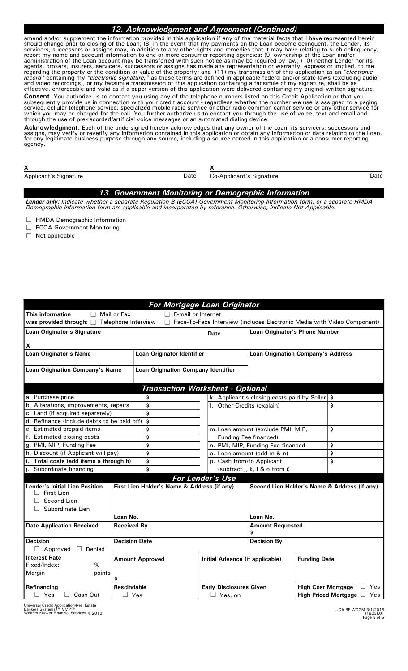## *12. Acknowledgment and Agreement (Continued)*

amend and/or supplement the information provided in this application if any of the material facts that I have represented herein should change prior to closing of the Loan; (8) in the event that my payments on the Loan become delinquent, the Lender, its servicers, successors or assigns may, in addition to any other rights and remedies that it may have relating to such delinquency, report my name and account information to one or more consumer reporting agencies; (9) ownership of the Loan and/or administration of the Loan account may be transferred with such notice as may be required by law; (10) neither Lender nor its agents, brokers, insurers, servicers, successors or assigns has made any representation or warranty, express or implied, to me regarding the property or the condition or value of the property; and (11) my transmission of this application as an *"electronic record"* containing my *"electronic signature,"* as those terms are defined in applicable federal and/or state laws (excluding audio and video recordings), or my facsimile transmission of this application containing a facsimile of my signature, shall be as effective, enforceable and valid as if a paper version of this application were delivered containing my original written signature.

**Consent.** You authorize us to contact you using any of the telephone numbers listed on this Credit Application or that you subsequently provide us in connection with your credit account - regardless whether the number we use is assigned to a paging service, cellular telephone service, specialized mobile radio service or other radio common carrier service or any other service for which you may be charged for the call. You further authorize us to contact you through the use of voice, text and email and through the use of pre-recorded/artificial voice messages or an automated dialing device.

**Acknowledgment.** Each of the undersigned hereby acknowledges that any owner of the Loan, its servicers, successors and<br>assigns, may verify or reverify any information contained in this application or obtain any informatio for any legitimate business purpose through any source, including a source named in this application or a consumer reporting agency.

| <b>Applicant's Signature</b> | Date |  |  |
|------------------------------|------|--|--|

Date Co-Applicant's Signature Communication Co-Applicant's Signature Date

## *13. Government Monitoring or Demographic Information*

*Lender only: Indicate whether a separate Regulation B (ECOA) Government Monitoring Information form, or a separate HMDA Demographic Information form are applicable and incorporated by reference. Otherwise, indicate Not Applicable.*

 $\Box$  HMDA Demographic Information

- □ ECOA Government Monitoring
- $\Box$  Not applicable

|                                                                 |                                                                                                                                  | For Mortgage Loan Originator                                          |                                             |                                              |  |  |  |
|-----------------------------------------------------------------|----------------------------------------------------------------------------------------------------------------------------------|-----------------------------------------------------------------------|---------------------------------------------|----------------------------------------------|--|--|--|
| This information<br>П                                           | Mail or Fax<br>E-mail or Internet                                                                                                |                                                                       |                                             |                                              |  |  |  |
|                                                                 | was provided through: <b>Fill</b> Telephone Interview<br>Face-To-Face Interview (includes Electronic Media with Video Component) |                                                                       |                                             |                                              |  |  |  |
| Loan Originator's Signature                                     |                                                                                                                                  | <b>Date</b>                                                           |                                             | Loan Originator's Phone Number               |  |  |  |
|                                                                 |                                                                                                                                  |                                                                       |                                             |                                              |  |  |  |
| X                                                               |                                                                                                                                  |                                                                       |                                             |                                              |  |  |  |
| <b>Loan Originator's Name</b>                                   | Loan Originator Identifier                                                                                                       |                                                                       |                                             | <b>Loan Origination Company's Address</b>    |  |  |  |
| Loan Origination Company's Name                                 | <b>Loan Origination Company Identifier</b>                                                                                       |                                                                       |                                             |                                              |  |  |  |
|                                                                 |                                                                                                                                  |                                                                       |                                             |                                              |  |  |  |
|                                                                 |                                                                                                                                  |                                                                       |                                             |                                              |  |  |  |
|                                                                 | <b>Transaction Worksheet - Optional</b>                                                                                          |                                                                       |                                             |                                              |  |  |  |
| a. Purchase price                                               | \$                                                                                                                               |                                                                       | k. Applicant's closing costs paid by Seller | \$                                           |  |  |  |
| b. Alterations, improvements, repairs                           | \$                                                                                                                               | I. Other Credits (explain)                                            |                                             | Ś                                            |  |  |  |
| c. Land (if acquired separately)                                | \$                                                                                                                               |                                                                       |                                             |                                              |  |  |  |
| d. Refinance (include debts to be paid off)                     | \$                                                                                                                               |                                                                       |                                             |                                              |  |  |  |
| e. Estimated prepaid items                                      | \$                                                                                                                               | m. Loan amount (exclude PMI, MIP,<br>\$                               |                                             |                                              |  |  |  |
| f. Estimated closing costs                                      | \$                                                                                                                               | Funding Fee financed)                                                 |                                             |                                              |  |  |  |
| g. PMI, MIP, Funding Fee<br>h. Discount (if Applicant will pay) | \$                                                                                                                               | n. PMI, MIP, Funding Fee financed<br>\$<br>o. Loan amount (add m & n) |                                             |                                              |  |  |  |
| i. Total costs (add items a through h)                          | \$                                                                                                                               | \$                                                                    |                                             | \$<br>\$                                     |  |  |  |
| j. Subordinate financing                                        | \$                                                                                                                               | p. Cash from/to Applicant<br>(subtract j, k, l & o from i)            |                                             |                                              |  |  |  |
|                                                                 |                                                                                                                                  |                                                                       |                                             |                                              |  |  |  |
|                                                                 |                                                                                                                                  | <b>For Lender's Use</b>                                               |                                             |                                              |  |  |  |
| Lender's Initial Lien Position<br>First Lien                    | First Lien Holder's Name & Address (if any)                                                                                      |                                                                       |                                             | Second Lien Holder's Name & Address (if any) |  |  |  |
| Second Lien                                                     |                                                                                                                                  |                                                                       |                                             |                                              |  |  |  |
| Subordinate Lien                                                |                                                                                                                                  |                                                                       |                                             |                                              |  |  |  |
| Loan No.                                                        |                                                                                                                                  |                                                                       | Loan No.                                    |                                              |  |  |  |
| <b>Date Application Received</b>                                | <b>Received By</b>                                                                                                               |                                                                       | <b>Amount Requested</b>                     |                                              |  |  |  |
|                                                                 |                                                                                                                                  |                                                                       | \$                                          |                                              |  |  |  |
| <b>Decision</b>                                                 | <b>Decision Date</b>                                                                                                             |                                                                       | <b>Decision By</b>                          |                                              |  |  |  |
| Approved<br>Denied<br>$\vert \ \ \vert$                         |                                                                                                                                  |                                                                       |                                             |                                              |  |  |  |
| <b>Interest Rate</b>                                            | <b>Amount Approved</b>                                                                                                           | Initial Advance (if applicable)                                       |                                             | <b>Funding Date</b>                          |  |  |  |
| Fixed/Index:<br>%                                               |                                                                                                                                  |                                                                       |                                             |                                              |  |  |  |
| Margin<br>points                                                |                                                                                                                                  |                                                                       |                                             |                                              |  |  |  |
| \$<br><b>Rescindable</b><br>Refinancing                         |                                                                                                                                  | <b>Early Disclosures Given</b>                                        |                                             | Yes<br><b>High Cost Mortgage</b>             |  |  |  |
|                                                                 |                                                                                                                                  |                                                                       |                                             | High Priced Mortgage <sup>7</sup> Yes        |  |  |  |

Universal Credit Application-Real Estate<br>Bankers Systems™ VMP®<br>Wolters Kluwer Financial Services © 2012 Wolters Kluwer Financial Services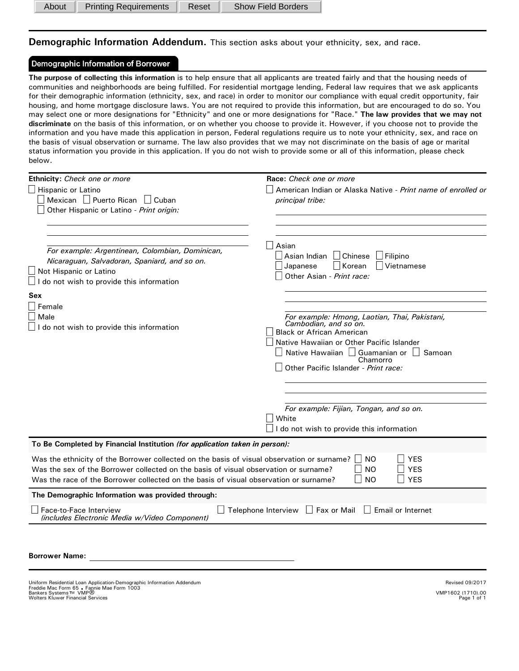About | Printing Requirements | Reset | Show Field Borders

**Demographic Information Addendum.** This section asks about your ethnicity, sex, and race.

## Demographic Information of Borrower

**The purpose of collecting this information** is to help ensure that all applicants are treated fairly and that the housing needs of communities and neighborhoods are being fulfilled. For residential mortgage lending, Federal law requires that we ask applicants for their demographic information (ethnicity, sex, and race) in order to monitor our compliance with equal credit opportunity, fair housing, and home mortgage disclosure laws. You are not required to provide this information, but are encouraged to do so. You may select one or more designations for "Ethnicity" and one or more designations for "Race." **The law provides that we may not discriminate** on the basis of this information, or on whether you choose to provide it. However, if you choose not to provide the information and you have made this application in person, Federal regulations require us to note your ethnicity, sex, and race on the basis of visual observation or surname. The law also provides that we may not discriminate on the basis of age or marital status information you provide in this application. If you do not wish to provide some or all of this information, please check below.

| Ethnicity: Check one or more                                                                                                                                                                                                                                                | Race: Check one or more                                                                                                                                                                                                                            |  |  |  |  |
|-----------------------------------------------------------------------------------------------------------------------------------------------------------------------------------------------------------------------------------------------------------------------------|----------------------------------------------------------------------------------------------------------------------------------------------------------------------------------------------------------------------------------------------------|--|--|--|--|
| $\Box$ Hispanic or Latino<br>Mexican   Puerto Rican   Cuban<br>Other Hispanic or Latino - Print origin:                                                                                                                                                                     | American Indian or Alaska Native - Print name of enrolled or<br>principal tribe:                                                                                                                                                                   |  |  |  |  |
| For example: Argentinean, Colombian, Dominican,<br>Nicaraguan, Salvadoran, Spaniard, and so on.<br>$\Box$ Not Hispanic or Latino<br>$\Box$ I do not wish to provide this information                                                                                        | Asian<br>  Chinese<br>  Asian Indian <br>Filipino<br>∃Korean<br>Japanese<br>Vietnamese<br>Other Asian - Print race:                                                                                                                                |  |  |  |  |
| Sex<br>Female<br>Male<br>I do not wish to provide this information                                                                                                                                                                                                          | For example: Hmong, Laotian, Thai, Pakistani,<br>Cambodian, and so on.<br><b>Black or African American</b><br>Native Hawaiian or Other Pacific Islander<br>Native Hawaiian Guamanian or Samoan<br>Chamorro<br>Other Pacific Islander - Print race: |  |  |  |  |
|                                                                                                                                                                                                                                                                             | For example: Fijian, Tongan, and so on.<br>White                                                                                                                                                                                                   |  |  |  |  |
|                                                                                                                                                                                                                                                                             | I do not wish to provide this information                                                                                                                                                                                                          |  |  |  |  |
| To Be Completed by Financial Institution (for application taken in person):                                                                                                                                                                                                 |                                                                                                                                                                                                                                                    |  |  |  |  |
| Was the ethnicity of the Borrower collected on the basis of visual observation or surname?<br>Was the sex of the Borrower collected on the basis of visual observation or surname?<br>Was the race of the Borrower collected on the basis of visual observation or surname? | ∣ YES<br><b>NO</b><br><b>YES</b><br><b>NO</b><br><b>NO</b><br><b>YES</b>                                                                                                                                                                           |  |  |  |  |
| The Demographic Information was provided through:                                                                                                                                                                                                                           |                                                                                                                                                                                                                                                    |  |  |  |  |
| Face-to-Face Interview<br>(includes Electronic Media w/Video Component)                                                                                                                                                                                                     | Telephone Interview □ Fax or Mail<br>  Email or Internet                                                                                                                                                                                           |  |  |  |  |
| <b>Borrower Name:</b>                                                                                                                                                                                                                                                       |                                                                                                                                                                                                                                                    |  |  |  |  |

Uniform Residential Loan Application-Demographic Information Addendum<br>Freddie Mac Form 65 <sub>•</sub> Fannie Mae Form 1003<br>Bankers Systems™ VMP<sup>1602</sup> (1710).00 Wolters Kluwer Financial Services